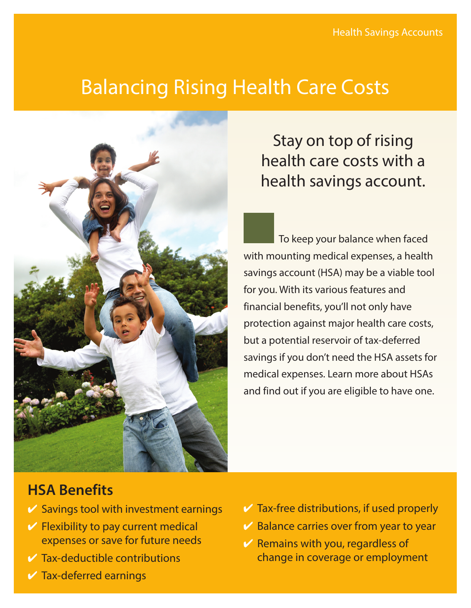# Balancing Rising Health Care Costs



Stay on top of rising health care costs with a health savings account.

To keep your balance when faced with mounting medical expenses, a health savings account (HSA) may be a viable tool for you. With its various features and financial benefits, you'll not only have protection against major health care costs, but a potential reservoir of tax-deferred savings if you don't need the HSA assets for medical expenses. Learn more about HSAs and find out if you are eligible to have one.

## **HSA Benefits**

- $\vee$  Savings tool with investment earnings
- $\vee$  Flexibility to pay current medical expenses or save for future needs
- $\vee$  Tax-deductible contributions
- $\vee$  Tax-deferred earnings
- $\vee$  Tax-free distributions, if used properly
- $\vee$  Balance carries over from year to year
- $\vee$  Remains with you, regardless of change in coverage or employment